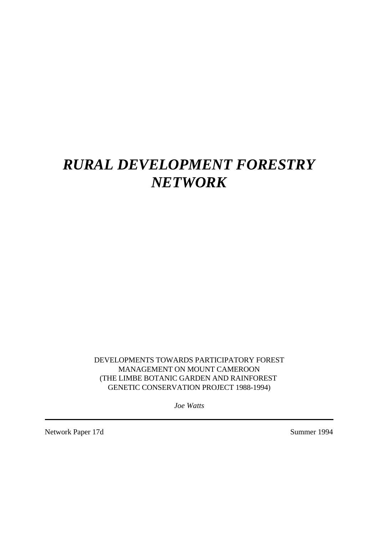# *RURAL DEVELOPMENT FORESTRY NETWORK*

DEVELOPMENTS TOWARDS PARTICIPATORY FOREST MANAGEMENT ON MOUNT CAMEROON (THE LIMBE BOTANIC GARDEN AND RAINFOREST GENETIC CONSERVATION PROJECT 1988-1994)

*Joe Watts*

Network Paper 17d Summer 1994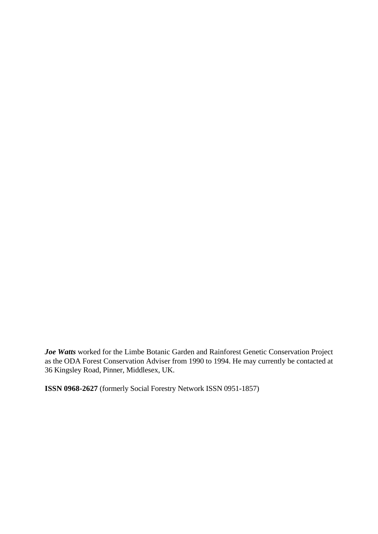*Joe Watts* worked for the Limbe Botanic Garden and Rainforest Genetic Conservation Project as the ODA Forest Conservation Adviser from 1990 to 1994. He may currently be contacted at 36 Kingsley Road, Pinner, Middlesex, UK.

**ISSN 0968-2627** (formerly Social Forestry Network ISSN 0951-1857)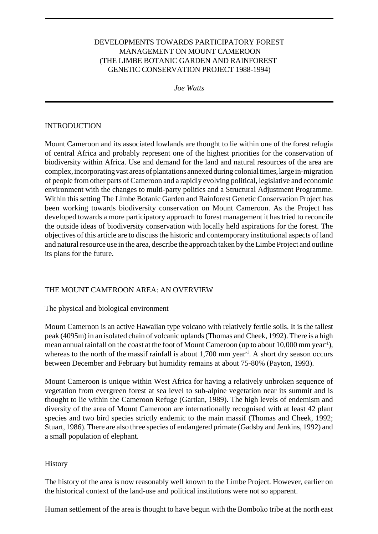## DEVELOPMENTS TOWARDS PARTICIPATORY FOREST MANAGEMENT ON MOUNT CAMEROON (THE LIMBE BOTANIC GARDEN AND RAINFOREST GENETIC CONSERVATION PROJECT 1988-1994)

*Joe Watts*

#### INTRODUCTION

Mount Cameroon and its associated lowlands are thought to lie within one of the forest refugia of central Africa and probably represent one of the highest priorities for the conservation of biodiversity within Africa. Use and demand for the land and natural resources of the area are complex, incorporating vast areas of plantations annexed during colonial times, large in-migration of people from other parts of Cameroon and a rapidly evolving political, legislative and economic environment with the changes to multi-party politics and a Structural Adjustment Programme. Within this setting The Limbe Botanic Garden and Rainforest Genetic Conservation Project has been working towards biodiversity conservation on Mount Cameroon. As the Project has developed towards a more participatory approach to forest management it has tried to reconcile the outside ideas of biodiversity conservation with locally held aspirations for the forest. The objectives of this article are to discuss the historic and contemporary institutional aspects of land and natural resource use in the area, describe the approach taken by the Limbe Project and outline its plans for the future.

## THE MOUNT CAMEROON AREA: AN OVERVIEW

#### The physical and biological environment

Mount Cameroon is an active Hawaiian type volcano with relatively fertile soils. It is the tallest peak (4095m) in an isolated chain of volcanic uplands (Thomas and Cheek, 1992). There is a high mean annual rainfall on the coast at the foot of Mount Cameroon (up to about 10,000 mm year-1), whereas to the north of the massif rainfall is about 1,700 mm year<sup>-1</sup>. A short dry season occurs between December and February but humidity remains at about 75-80% (Payton, 1993).

Mount Cameroon is unique within West Africa for having a relatively unbroken sequence of vegetation from evergreen forest at sea level to sub-alpine vegetation near its summit and is thought to lie within the Cameroon Refuge (Gartlan, 1989). The high levels of endemism and diversity of the area of Mount Cameroon are internationally recognised with at least 42 plant species and two bird species strictly endemic to the main massif (Thomas and Cheek, 1992; Stuart, 1986). There are also three species of endangered primate (Gadsby and Jenkins, 1992) and a small population of elephant.

#### **History**

The history of the area is now reasonably well known to the Limbe Project. However, earlier on the historical context of the land-use and political institutions were not so apparent.

Human settlement of the area is thought to have begun with the Bomboko tribe at the north east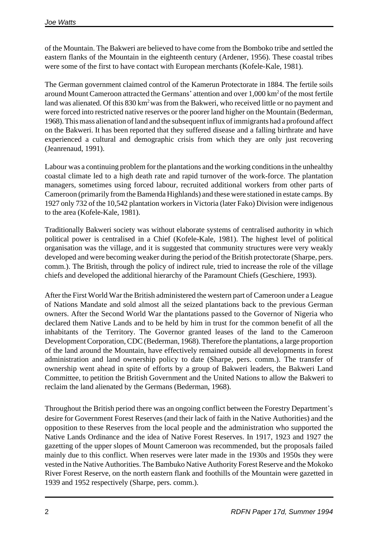of the Mountain. The Bakweri are believed to have come from the Bomboko tribe and settled the eastern flanks of the Mountain in the eighteenth century (Ardener, 1956). These coastal tribes were some of the first to have contact with European merchants (Kofele-Kale, 1981).

The German government claimed control of the Kamerun Protectorate in 1884. The fertile soils around Mount Cameroon attracted the Germans' attention and over 1,000 km<sup>2</sup> of the most fertile land was alienated. Of this 830 km<sup>2</sup> was from the Bakweri, who received little or no payment and were forced into restricted native reserves or the poorer land higher on the Mountain (Bederman, 1968). This mass alienation of land and the subsequent influx of immigrants had a profound affect on the Bakweri. It has been reported that they suffered disease and a falling birthrate and have experienced a cultural and demographic crisis from which they are only just recovering (Jeanrenaud, 1991).

Labour was a continuing problem for the plantations and the working conditions in the unhealthy coastal climate led to a high death rate and rapid turnover of the work-force. The plantation managers, sometimes using forced labour, recruited additional workers from other parts of Cameroon (primarily from the Bamenda Highlands) and these were stationed in estate camps. By 1927 only 732 of the 10,542 plantation workers in Victoria (later Fako) Division were indigenous to the area (Kofele-Kale, 1981).

Traditionally Bakweri society was without elaborate systems of centralised authority in which political power is centralised in a Chief (Kofele-Kale, 1981). The highest level of political organisation was the village, and it is suggested that community structures were very weakly developed and were becoming weaker during the period of the British protectorate (Sharpe, pers. comm.). The British, through the policy of indirect rule, tried to increase the role of the village chiefs and developed the additional hierarchy of the Paramount Chiefs (Geschiere, 1993).

After the First World War the British administered the western part of Cameroon under a League of Nations Mandate and sold almost all the seized plantations back to the previous German owners. After the Second World War the plantations passed to the Governor of Nigeria who declared them Native Lands and to be held by him in trust for the common benefit of all the inhabitants of the Territory. The Governor granted leases of the land to the Cameroon Development Corporation, CDC (Bederman, 1968). Therefore the plantations, a large proportion of the land around the Mountain, have effectively remained outside all developments in forest administration and land ownership policy to date (Sharpe, pers. comm.). The transfer of ownership went ahead in spite of efforts by a group of Bakweri leaders, the Bakweri Land Committee, to petition the British Government and the United Nations to allow the Bakweri to reclaim the land alienated by the Germans (Bederman, 1968).

Throughout the British period there was an ongoing conflict between the Forestry Department's desire for Government Forest Reserves (and their lack of faith in the Native Authorities) and the opposition to these Reserves from the local people and the administration who supported the Native Lands Ordinance and the idea of Native Forest Reserves. In 1917, 1923 and 1927 the gazetting of the upper slopes of Mount Cameroon was recommended, but the proposals failed mainly due to this conflict. When reserves were later made in the 1930s and 1950s they were vested in the Native Authorities. The Bambuko Native Authority Forest Reserve and the Mokoko River Forest Reserve, on the north eastern flank and foothills of the Mountain were gazetted in 1939 and 1952 respectively (Sharpe, pers. comm.).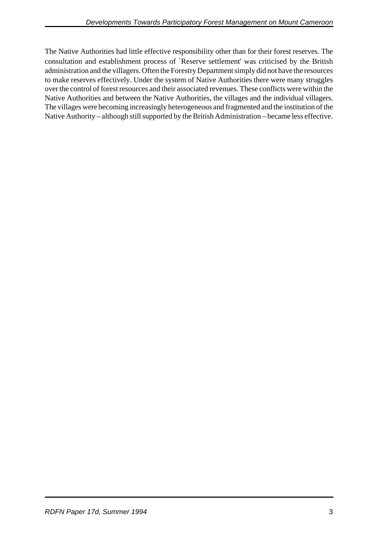The Native Authorities had little effective responsibility other than for their forest reserves. The consultation and establishment process of `Reserve settlement' was criticised by the British administration and the villagers. Often the Forestry Department simply did not have the resources to make reserves effectively. Under the system of Native Authorities there were many struggles over the control of forest resources and their associated revenues. These conflicts were within the Native Authorities and between the Native Authorities, the villages and the individual villagers. The villages were becoming increasingly heterogeneous and fragmented and the institution of the Native Authority – although still supported by the British Administration – became less effective.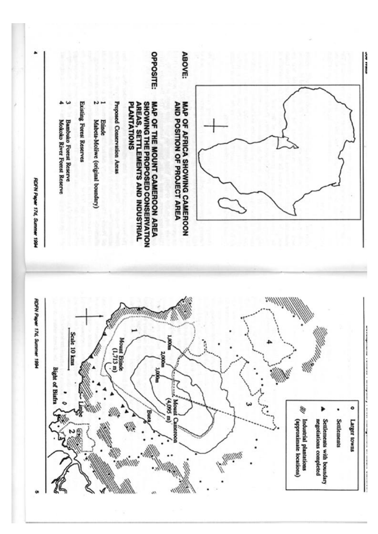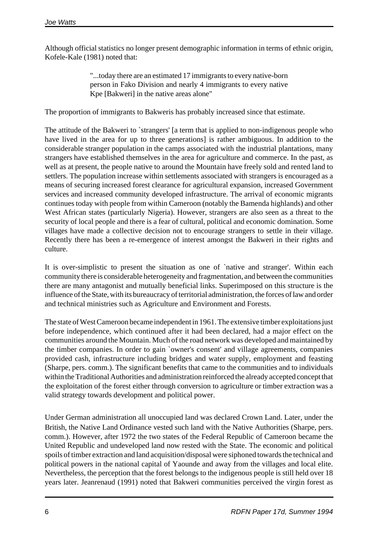Although official statistics no longer present demographic information in terms of ethnic origin, Kofele-Kale (1981) noted that:

> "...today there are an estimated 17 immigrants to every native-born person in Fako Division and nearly 4 immigrants to every native Kpe [Bakweri] in the native areas alone"

The proportion of immigrants to Bakweris has probably increased since that estimate.

The attitude of the Bakweri to `strangers' [a term that is applied to non-indigenous people who have lived in the area for up to three generations] is rather ambiguous. In addition to the considerable stranger population in the camps associated with the industrial plantations, many strangers have established themselves in the area for agriculture and commerce. In the past, as well as at present, the people native to around the Mountain have freely sold and rented land to settlers. The population increase within settlements associated with strangers is encouraged as a means of securing increased forest clearance for agricultural expansion, increased Government services and increased community developed infrastructure. The arrival of economic migrants continues today with people from within Cameroon (notably the Bamenda highlands) and other West African states (particularly Nigeria). However, strangers are also seen as a threat to the security of local people and there is a fear of cultural, political and economic domination. Some villages have made a collective decision not to encourage strangers to settle in their village. Recently there has been a re-emergence of interest amongst the Bakweri in their rights and culture.

It is over-simplistic to present the situation as one of `native and stranger'. Within each community there is considerable heterogeneity and fragmentation, and between the communities there are many antagonist and mutually beneficial links. Superimposed on this structure is the influence of the State, with its bureaucracy of territorial administration, the forces of law and order and technical ministries such as Agriculture and Environment and Forests.

The state of West Cameroon became independent in 1961. The extensive timber exploitations just before independence, which continued after it had been declared, had a major effect on the communities around the Mountain. Much of the road network was developed and maintained by the timber companies. In order to gain `owner's consent' and village agreements, companies provided cash, infrastructure including bridges and water supply, employment and feasting (Sharpe, pers. comm.). The significant benefits that came to the communities and to individuals within the Traditional Authorities and administration reinforced the already accepted concept that the exploitation of the forest either through conversion to agriculture or timber extraction was a valid strategy towards development and political power.

Under German administration all unoccupied land was declared Crown Land. Later, under the British, the Native Land Ordinance vested such land with the Native Authorities (Sharpe, pers. comm.). However, after 1972 the two states of the Federal Republic of Cameroon became the United Republic and undeveloped land now rested with the State. The economic and political spoils of timber extraction and land acquisition/disposal were siphoned towards the technical and political powers in the national capital of Yaounde and away from the villages and local elite. Nevertheless, the perception that the forest belongs to the indigenous people is still held over 18 years later. Jeanrenaud (1991) noted that Bakweri communities perceived the virgin forest as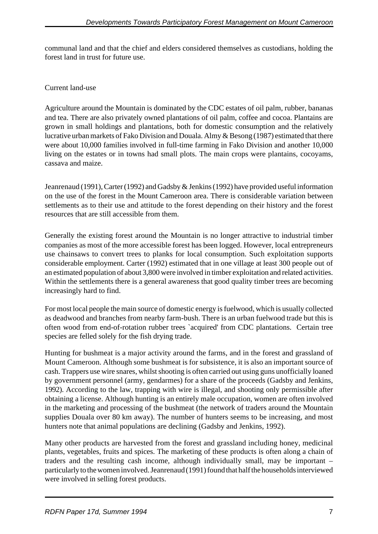communal land and that the chief and elders considered themselves as custodians, holding the forest land in trust for future use.

# Current land-use

Agriculture around the Mountain is dominated by the CDC estates of oil palm, rubber, bananas and tea. There are also privately owned plantations of oil palm, coffee and cocoa. Plantains are grown in small holdings and plantations, both for domestic consumption and the relatively lucrative urban markets of Fako Division and Douala. Almy & Besong (1987) estimated that there were about 10,000 families involved in full-time farming in Fako Division and another 10,000 living on the estates or in towns had small plots. The main crops were plantains, cocoyams, cassava and maize.

Jeanrenaud (1991), Carter (1992) and Gadsby & Jenkins (1992) have provided useful information on the use of the forest in the Mount Cameroon area. There is considerable variation between settlements as to their use and attitude to the forest depending on their history and the forest resources that are still accessible from them.

Generally the existing forest around the Mountain is no longer attractive to industrial timber companies as most of the more accessible forest has been logged. However, local entrepreneurs use chainsaws to convert trees to planks for local consumption. Such exploitation supports considerable employment. Carter (1992) estimated that in one village at least 300 people out of an estimated population of about 3,800 were involved in timber exploitation and related activities. Within the settlements there is a general awareness that good quality timber trees are becoming increasingly hard to find.

For most local people the main source of domestic energy is fuelwood, which is usually collected as deadwood and branches from nearby farm-bush. There is an urban fuelwood trade but this is often wood from end-of-rotation rubber trees `acquired' from CDC plantations. Certain tree species are felled solely for the fish drying trade.

Hunting for bushmeat is a major activity around the farms, and in the forest and grassland of Mount Cameroon. Although some bushmeat is for subsistence, it is also an important source of cash. Trappers use wire snares, whilst shooting is often carried out using guns unofficially loaned by government personnel (army, gendarmes) for a share of the proceeds (Gadsby and Jenkins, 1992). According to the law, trapping with wire is illegal, and shooting only permissible after obtaining a license. Although hunting is an entirely male occupation, women are often involved in the marketing and processing of the bushmeat (the network of traders around the Mountain supplies Douala over 80 km away). The number of hunters seems to be increasing, and most hunters note that animal populations are declining (Gadsby and Jenkins, 1992).

Many other products are harvested from the forest and grassland including honey, medicinal plants, vegetables, fruits and spices. The marketing of these products is often along a chain of traders and the resulting cash income, although individually small, may be important – particularly to the women involved. Jeanrenaud (1991) found that half the households interviewed were involved in selling forest products.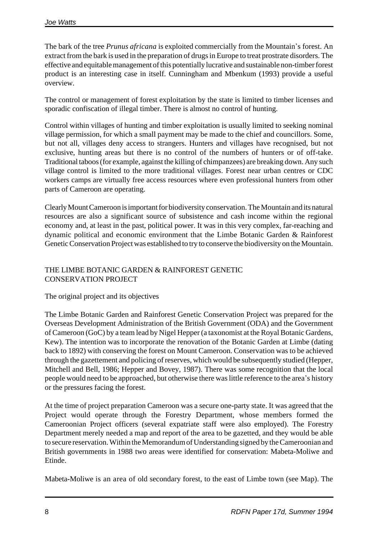The bark of the tree *Prunus africana* is exploited commercially from the Mountain's forest. An extract from the bark is used in the preparation of drugs in Europe to treat prostrate disorders. The effective and equitable management of this potentially lucrative and sustainable non-timber forest product is an interesting case in itself. Cunningham and Mbenkum (1993) provide a useful overview.

The control or management of forest exploitation by the state is limited to timber licenses and sporadic confiscation of illegal timber. There is almost no control of hunting.

Control within villages of hunting and timber exploitation is usually limited to seeking nominal village permission, for which a small payment may be made to the chief and councillors. Some, but not all, villages deny access to strangers. Hunters and villages have recognised, but not exclusive, hunting areas but there is no control of the numbers of hunters or of off-take. Traditional taboos (for example, against the killing of chimpanzees) are breaking down. Any such village control is limited to the more traditional villages. Forest near urban centres or CDC workers camps are virtually free access resources where even professional hunters from other parts of Cameroon are operating.

Clearly Mount Cameroon is important for biodiversity conservation. The Mountain and its natural resources are also a significant source of subsistence and cash income within the regional economy and, at least in the past, political power. It was in this very complex, far-reaching and dynamic political and economic environment that the Limbe Botanic Garden & Rainforest Genetic Conservation Project was established to try to conserve the biodiversity on the Mountain.

# THE LIMBE BOTANIC GARDEN & RAINFOREST GENETIC CONSERVATION PROJECT

# The original project and its objectives

The Limbe Botanic Garden and Rainforest Genetic Conservation Project was prepared for the Overseas Development Administration of the British Government (ODA) and the Government of Cameroon (GoC) by a team lead by Nigel Hepper (a taxonomist at the Royal Botanic Gardens, Kew). The intention was to incorporate the renovation of the Botanic Garden at Limbe (dating back to 1892) with conserving the forest on Mount Cameroon. Conservation was to be achieved through the gazettement and policing of reserves, which would be subsequently studied (Hepper, Mitchell and Bell, 1986; Hepper and Bovey, 1987). There was some recognition that the local people would need to be approached, but otherwise there was little reference to the area's history or the pressures facing the forest.

At the time of project preparation Cameroon was a secure one-party state. It was agreed that the Project would operate through the Forestry Department, whose members formed the Cameroonian Project officers (several expatriate staff were also employed). The Forestry Department merely needed a map and report of the area to be gazetted, and they would be able to secure reservation. Within the Memorandum of Understanding signed by the Cameroonian and British governments in 1988 two areas were identified for conservation: Mabeta-Moliwe and Etinde.

Mabeta-Moliwe is an area of old secondary forest, to the east of Limbe town (see Map). The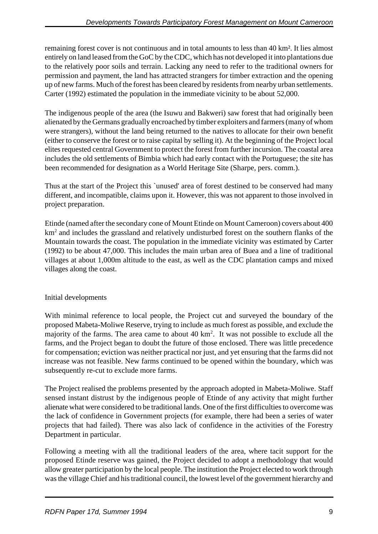remaining forest cover is not continuous and in total amounts to less than 40 km². It lies almost entirely on land leased from the GoC by the CDC, which has not developed it into plantations due to the relatively poor soils and terrain. Lacking any need to refer to the traditional owners for permission and payment, the land has attracted strangers for timber extraction and the opening up of new farms. Much of the forest has been cleared by residents from nearby urban settlements. Carter (1992) estimated the population in the immediate vicinity to be about 52,000.

The indigenous people of the area (the Isuwu and Bakweri) saw forest that had originally been alienated by the Germans gradually encroached by timber exploiters and farmers (many of whom were strangers), without the land being returned to the natives to allocate for their own benefit (either to conserve the forest or to raise capital by selling it). At the beginning of the Project local elites requested central Government to protect the forest from further incursion. The coastal area includes the old settlements of Bimbia which had early contact with the Portuguese; the site has been recommended for designation as a World Heritage Site (Sharpe, pers. comm.).

Thus at the start of the Project this `unused' area of forest destined to be conserved had many different, and incompatible, claims upon it. However, this was not apparent to those involved in project preparation.

Etinde (named after the secondary cone of Mount Etinde on Mount Cameroon) covers about 400 km<sup>2</sup> and includes the grassland and relatively undisturbed forest on the southern flanks of the Mountain towards the coast. The population in the immediate vicinity was estimated by Carter (1992) to be about 47,000. This includes the main urban area of Buea and a line of traditional villages at about 1,000m altitude to the east, as well as the CDC plantation camps and mixed villages along the coast.

# Initial developments

With minimal reference to local people, the Project cut and surveyed the boundary of the proposed Mabeta-Moliwe Reserve, trying to include as much forest as possible, and exclude the majority of the farms. The area came to about 40 km<sup>2</sup>. It was not possible to exclude all the farms, and the Project began to doubt the future of those enclosed. There was little precedence for compensation; eviction was neither practical nor just, and yet ensuring that the farms did not increase was not feasible. New farms continued to be opened within the boundary, which was subsequently re-cut to exclude more farms.

The Project realised the problems presented by the approach adopted in Mabeta-Moliwe. Staff sensed instant distrust by the indigenous people of Etinde of any activity that might further alienate what were considered to be traditional lands. One of the first difficulties to overcome was the lack of confidence in Government projects (for example, there had been a series of water projects that had failed). There was also lack of confidence in the activities of the Forestry Department in particular.

Following a meeting with all the traditional leaders of the area, where tacit support for the proposed Etinde reserve was gained, the Project decided to adopt a methodology that would allow greater participation by the local people. The institution the Project elected to work through was the village Chief and his traditional council, the lowest level of the government hierarchy and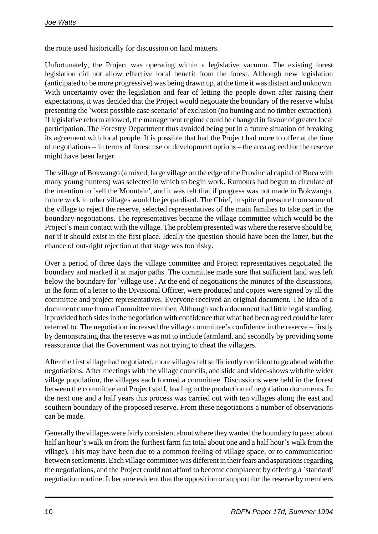the route used historically for discussion on land matters.

Unfortunately, the Project was operating within a legislative vacuum. The existing forest legislation did not allow effective local benefit from the forest. Although new legislation (anticipated to be more progressive) was being drawn up, at the time it was distant and unknown. With uncertainty over the legislation and fear of letting the people down after raising their expectations, it was decided that the Project would negotiate the boundary of the reserve whilst presenting the `worst possible case scenario' of exclusion (no hunting and no timber extraction). If legislative reform allowed, the management regime could be changed in favour of greater local participation. The Forestry Department thus avoided being put in a future situation of breaking its agreement with local people. It is possible that had the Project had more to offer at the time of negotiations – in terms of forest use or development options – the area agreed for the reserve might have been larger.

The village of Bokwango (a mixed, large village on the edge of the Provincial capital of Buea with many young hunters) was selected in which to begin work. Rumours had begun to circulate of the intention to `sell the Mountain', and it was felt that if progress was not made in Bokwango, future work in other villages would be jeopardised. The Chief, in spite of pressure from some of the village to reject the reserve, selected representatives of the main families to take part in the boundary negotiations. The representatives became the village committee which would be the Project's main contact with the village. The problem presented was where the reserve should be, not if it should exist in the first place. Ideally the question should have been the latter, but the chance of out-right rejection at that stage was too risky.

Over a period of three days the village committee and Project representatives negotiated the boundary and marked it at major paths. The committee made sure that sufficient land was left below the boundary for `village use'. At the end of negotiations the minutes of the discussions, in the form of a letter to the Divisional Officer, were produced and copies were signed by all the committee and project representatives. Everyone received an original document. The idea of a document came from a Committee member. Although such a document had little legal standing, it provided both sides in the negotiation with confidence that what had been agreed could be later referred to. The negotiation increased the village committee's confidence in the reserve – firstly by demonstrating that the reserve was not to include farmland, and secondly by providing some reassurance that the Government was not trying to cheat the villagers.

After the first village had negotiated, more villages felt sufficiently confident to go ahead with the negotiations. After meetings with the village councils, and slide and video-shows with the wider village population, the villages each formed a committee. Discussions were held in the forest between the committee and Project staff, leading to the production of negotiation documents. In the next one and a half years this process was carried out with ten villages along the east and southern boundary of the proposed reserve. From these negotiations a number of observations can be made.

Generally the villages were fairly consistent about where they wanted the boundary to pass: about half an hour's walk on from the furthest farm (in total about one and a half hour's walk from the village). This may have been due to a common feeling of village space, or to communication between settlements. Each village committee was different in their fears and aspirations regarding the negotiations, and the Project could not afford to become complacent by offering a `standard' negotiation routine. It became evident that the opposition or support for the reserve by members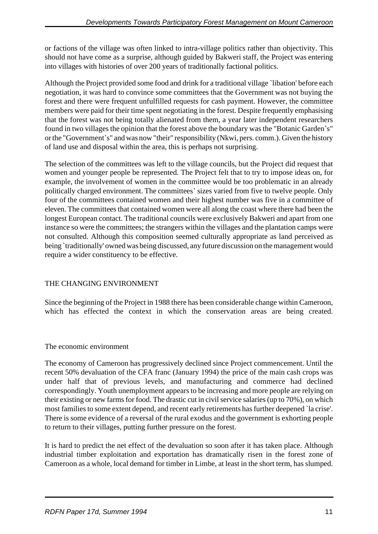or factions of the village was often linked to intra-village politics rather than objectivity. This should not have come as a surprise, although guided by Bakweri staff, the Project was entering into villages with histories of over 200 years of traditionally factional politics.

Although the Project provided some food and drink for a traditional village `libation' before each negotiation, it was hard to convince some committees that the Government was not buying the forest and there were frequent unfulfilled requests for cash payment. However, the committee members were paid for their time spent negotiating in the forest. Despite frequently emphasising that the forest was not being totally alienated from them, a year later independent researchers found in two villages the opinion that the forest above the boundary was the "Botanic Garden\*s" or the "Government's" and was now "their" responsibility (Nkwi, pers. comm.). Given the history of land use and disposal within the area, this is perhaps not surprising.

The selection of the committees was left to the village councils, but the Project did request that women and younger people be represented. The Project felt that to try to impose ideas on, for example, the involvement of women in the committee would be too problematic in an already politically charged environment. The committees' sizes varied from five to twelve people. Only four of the committees contained women and their highest number was five in a committee of eleven. The committees that contained women were all along the coast where there had been the longest European contact. The traditional councils were exclusively Bakweri and apart from one instance so were the committees; the strangers within the villages and the plantation camps were not consulted. Although this composition seemed culturally appropriate as land perceived as being `traditionally' owned was being discussed, any future discussion on the management would require a wider constituency to be effective.

# THE CHANGING ENVIRONMENT

Since the beginning of the Project in 1988 there has been considerable change within Cameroon, which has effected the context in which the conservation areas are being created.

## The economic environment

The economy of Cameroon has progressively declined since Project commencement. Until the recent 50% devaluation of the CFA franc (January 1994) the price of the main cash crops was under half that of previous levels, and manufacturing and commerce had declined correspondingly. Youth unemployment appears to be increasing and more people are relying on their existing or new farms for food. The drastic cut in civil service salaries (up to 70%), on which most families to some extent depend, and recent early retirements has further deepened `la crise'. There is some evidence of a reversal of the rural exodus and the government is exhorting people to return to their villages, putting further pressure on the forest.

It is hard to predict the net effect of the devaluation so soon after it has taken place. Although industrial timber exploitation and exportation has dramatically risen in the forest zone of Cameroon as a whole, local demand for timber in Limbe, at least in the short term, has slumped.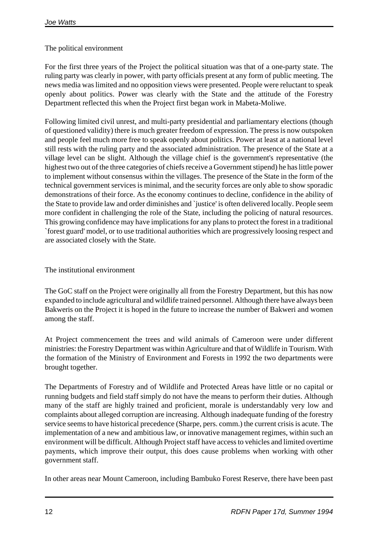# The political environment

For the first three years of the Project the political situation was that of a one-party state. The ruling party was clearly in power, with party officials present at any form of public meeting. The news media was limited and no opposition views were presented. People were reluctant to speak openly about politics. Power was clearly with the State and the attitude of the Forestry Department reflected this when the Project first began work in Mabeta-Moliwe.

Following limited civil unrest, and multi-party presidential and parliamentary elections (though of questioned validity) there is much greater freedom of expression. The press is now outspoken and people feel much more free to speak openly about politics. Power at least at a national level still rests with the ruling party and the associated administration. The presence of the State at a village level can be slight. Although the village chief is the government's representative (the highest two out of the three categories of chiefs receive a Government stipend) he has little power to implement without consensus within the villages. The presence of the State in the form of the technical government services is minimal, and the security forces are only able to show sporadic demonstrations of their force. As the economy continues to decline, confidence in the ability of the State to provide law and order diminishes and `justice' is often delivered locally. People seem more confident in challenging the role of the State, including the policing of natural resources. This growing confidence may have implications for any plans to protect the forest in a traditional `forest guard' model, or to use traditional authorities which are progressively loosing respect and are associated closely with the State.

# The institutional environment

The GoC staff on the Project were originally all from the Forestry Department, but this has now expanded to include agricultural and wildlife trained personnel. Although there have always been Bakweris on the Project it is hoped in the future to increase the number of Bakweri and women among the staff.

At Project commencement the trees and wild animals of Cameroon were under different ministries: the Forestry Department was within Agriculture and that of Wildlife in Tourism. With the formation of the Ministry of Environment and Forests in 1992 the two departments were brought together.

The Departments of Forestry and of Wildlife and Protected Areas have little or no capital or running budgets and field staff simply do not have the means to perform their duties. Although many of the staff are highly trained and proficient, morale is understandably very low and complaints about alleged corruption are increasing. Although inadequate funding of the forestry service seems to have historical precedence (Sharpe, pers. comm.) the current crisis is acute. The implementation of a new and ambitious law, or innovative management regimes, within such an environment will be difficult. Although Project staff have access to vehicles and limited overtime payments, which improve their output, this does cause problems when working with other government staff.

In other areas near Mount Cameroon, including Bambuko Forest Reserve, there have been past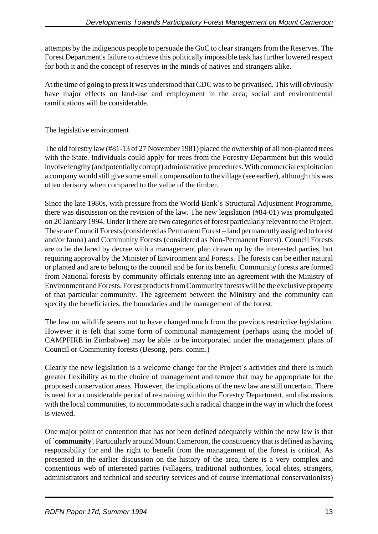attempts by the indigenous people to persuade the GoC to clear strangers from the Reserves. The Forest Department's failure to achieve this politically impossible task has further lowered respect for both it and the concept of reserves in the minds of natives and strangers alike.

At the time of going to press it was understood that CDC was to be privatised. This will obviously have major effects on land-use and employment in the area; social and environmental ramifications will be considerable.

# The legislative environment

The old forestry law (#81-13 of 27 November 1981) placed the ownership of all non-planted trees with the State. Individuals could apply for trees from the Forestry Department but this would involve lengthy (and potentially corrupt) administrative procedures. With commercial exploitation a company would still give some small compensation to the village (see earlier), although this was often derisory when compared to the value of the timber.

Since the late 1980s, with pressure from the World Bank's Structural Adjustment Programme, there was discussion on the revision of the law. The new legislation (#84-01) was promulgated on 20 January 1994. Under it there are two categories of forest particularly relevant to the Project. These are Council Forests (considered as Permanent Forest – land permanently assigned to forest and/or fauna) and Community Forests (considered as Non-Permanent Forest). Council Forests are to be declared by decree with a management plan drawn up by the interested parties, but requiring approval by the Minister of Environment and Forests. The forests can be either natural or planted and are to belong to the council and be for its benefit. Community forests are formed from National forests by community officials entering into an agreement with the Ministry of Environment and Forests. Forest products from Community forests will be the exclusive property of that particular community. The agreement between the Ministry and the community can specify the beneficiaries, the boundaries and the management of the forest.

The law on wildlife seems not to have changed much from the previous restrictive legislation. However it is felt that some form of communal management (perhaps using the model of CAMPFIRE in Zimbabwe) may be able to be incorporated under the management plans of Council or Community forests (Besong, pers. comm.)

Clearly the new legislation is a welcome change for the Project's activities and there is much greater flexibility as to the choice of management and tenure that may be appropriate for the proposed conservation areas. However, the implications of the new law are still uncertain. There is need for a considerable period of re-training within the Forestry Department, and discussions with the local communities, to accommodate such a radical change in the way in which the forest is viewed.

One major point of contention that has not been defined adequately within the new law is that of `**community**'. Particularly around Mount Cameroon, the constituency that is defined as having responsibility for and the right to benefit from the management of the forest is critical. As presented in the earlier discussion on the history of the area, there is a very complex and contentious web of interested parties (villagers, traditional authorities, local elites, strangers, administrators and technical and security services and of course international conservationists)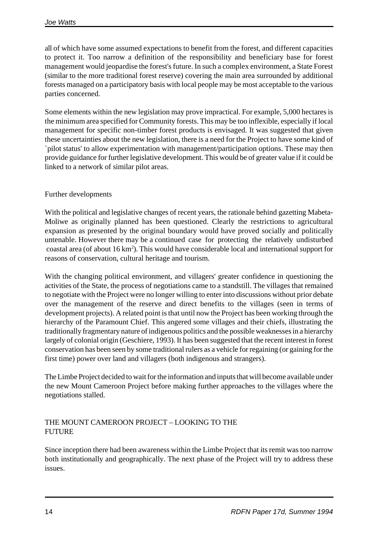all of which have some assumed expectations to benefit from the forest, and different capacities to protect it. Too narrow a definition of the responsibility and beneficiary base for forest management would jeopardise the forest's future. In such a complex environment, a State Forest (similar to the more traditional forest reserve) covering the main area surrounded by additional forests managed on a participatory basis with local people may be most acceptable to the various parties concerned.

Some elements within the new legislation may prove impractical. For example, 5,000 hectares is the minimum area specified for Community forests. This may be too inflexible, especially if local management for specific non-timber forest products is envisaged. It was suggested that given these uncertainties about the new legislation, there is a need for the Project to have some kind of `pilot status' to allow experimentation with management/participation options. These may then provide guidance for further legislative development. This would be of greater value if it could be linked to a network of similar pilot areas.

# Further developments

With the political and legislative changes of recent years, the rationale behind gazetting Mabeta-Moliwe as originally planned has been questioned. Clearly the restrictions to agricultural expansion as presented by the original boundary would have proved socially and politically untenable. However there may be a continued case for protecting the relatively undisturbed coastal area (of about  $16 \text{ km}^2$ ). This would have considerable local and international support for reasons of conservation, cultural heritage and tourism.

With the changing political environment, and villagers' greater confidence in questioning the activities of the State, the process of negotiations came to a standstill. The villages that remained to negotiate with the Project were no longer willing to enter into discussions without prior debate over the management of the reserve and direct benefits to the villages (seen in terms of development projects). A related point is that until now the Project has been working through the hierarchy of the Paramount Chief. This angered some villages and their chiefs, illustrating the traditionally fragmentary nature of indigenous politics and the possible weaknesses in a hierarchy largely of colonial origin (Geschiere, 1993). It has been suggested that the recent interest in forest conservation has been seen by some traditional rulers as a vehicle for regaining (or gaining for the first time) power over land and villagers (both indigenous and strangers).

The Limbe Project decided to wait for the information and inputs that will become available under the new Mount Cameroon Project before making further approaches to the villages where the negotiations stalled.

## THE MOUNT CAMEROON PROJECT – LOOKING TO THE FUTURE

Since inception there had been awareness within the Limbe Project that its remit was too narrow both institutionally and geographically. The next phase of the Project will try to address these issues.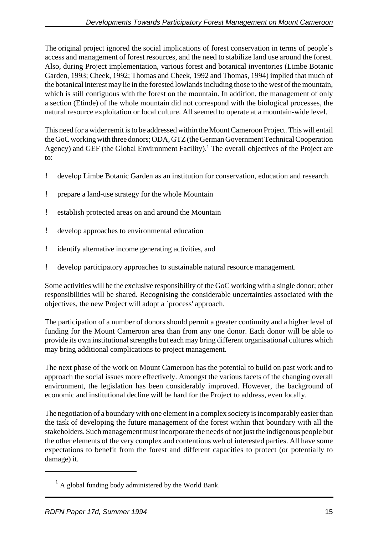The original project ignored the social implications of forest conservation in terms of people's access and management of forest resources, and the need to stabilize land use around the forest. Also, during Project implementation, various forest and botanical inventories (Limbe Botanic Garden, 1993; Cheek, 1992; Thomas and Cheek, 1992 and Thomas, 1994) implied that much of the botanical interest may lie in the forested lowlands including those to the west of the mountain, which is still contiguous with the forest on the mountain. In addition, the management of only a section (Etinde) of the whole mountain did not correspond with the biological processes, the natural resource exploitation or local culture. All seemed to operate at a mountain-wide level.

This need for a wider remit is to be addressed within the Mount Cameroon Project. This will entail the GoC working with three donors; ODA, GTZ (the German Government Technical Cooperation Agency) and GEF (the Global Environment Facility).<sup>1</sup> The overall objectives of the Project are to:

- ! develop Limbe Botanic Garden as an institution for conservation, education and research.
- ! prepare a land-use strategy for the whole Mountain
- ! establish protected areas on and around the Mountain
- ! develop approaches to environmental education
- ! identify alternative income generating activities, and
- ! develop participatory approaches to sustainable natural resource management.

Some activities will be the exclusive responsibility of the GoC working with a single donor; other responsibilities will be shared. Recognising the considerable uncertainties associated with the objectives, the new Project will adopt a `process' approach.

The participation of a number of donors should permit a greater continuity and a higher level of funding for the Mount Cameroon area than from any one donor. Each donor will be able to provide its own institutional strengths but each may bring different organisational cultures which may bring additional complications to project management.

The next phase of the work on Mount Cameroon has the potential to build on past work and to approach the social issues more effectively. Amongst the various facets of the changing overall environment, the legislation has been considerably improved. However, the background of economic and institutional decline will be hard for the Project to address, even locally.

The negotiation of a boundary with one element in a complex society is incomparably easier than the task of developing the future management of the forest within that boundary with all the stakeholders. Such management must incorporate the needs of not just the indigenous people but the other elements of the very complex and contentious web of interested parties. All have some expectations to benefit from the forest and different capacities to protect (or potentially to damage) it.

 $<sup>1</sup>$  A global funding body administered by the World Bank.</sup>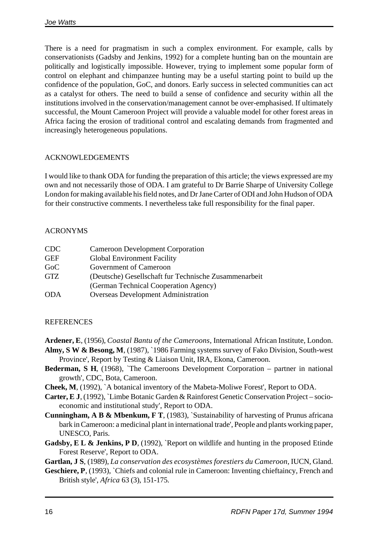There is a need for pragmatism in such a complex environment. For example, calls by conservationists (Gadsby and Jenkins, 1992) for a complete hunting ban on the mountain are politically and logistically impossible. However, trying to implement some popular form of control on elephant and chimpanzee hunting may be a useful starting point to build up the confidence of the population, GoC, and donors. Early success in selected communities can act as a catalyst for others. The need to build a sense of confidence and security within all the institutions involved in the conservation/management cannot be over-emphasised. If ultimately successful, the Mount Cameroon Project will provide a valuable model for other forest areas in Africa facing the erosion of traditional control and escalating demands from fragmented and increasingly heterogeneous populations.

# ACKNOWLEDGEMENTS

I would like to thank ODA for funding the preparation of this article; the views expressed are my own and not necessarily those of ODA. I am grateful to Dr Barrie Sharpe of University College London for making available his field notes, and Dr Jane Carter of ODI and John Hudson of ODA for their constructive comments. I nevertheless take full responsibility for the final paper.

# ACRONYMS

| CDC        | <b>Cameroon Development Corporation</b>               |
|------------|-------------------------------------------------------|
| <b>GEF</b> | <b>Global Environment Facility</b>                    |
| GoC        | Government of Cameroon                                |
| <b>GTZ</b> | (Deutsche) Gesellschaft fur Technische Zusammenarbeit |
|            | (German Technical Cooperation Agency)                 |
| <b>ODA</b> | <b>Overseas Development Administration</b>            |

# REFERENCES

**Ardener, E**, (1956), *Coastal Bantu of the Cameroons*, International African Institute, London.

- **Almy, S W & Besong, M**, (1987), `1986 Farming systems survey of Fako Division, South-west Province', Report by Testing & Liaison Unit, IRA, Ekona, Cameroon.
- **Bederman, S H**, (1968), `The Cameroons Development Corporation partner in national growth', CDC, Bota, Cameroon.
- **Cheek, M**, (1992), `A botanical inventory of the Mabeta-Moliwe Forest', Report to ODA.
- **Carter, E J**, (1992), `Limbe Botanic Garden & Rainforest Genetic Conservation Project socioeconomic and institutional study', Report to ODA.
- **Cunningham, A B & Mbenkum, F T**, (1983), `Sustainability of harvesting of Prunus africana bark in Cameroon: a medicinal plant in international trade', People and plants working paper, UNESCO, Paris.
- Gadsby, E L & Jenkins, P D, (1992), `Report on wildlife and hunting in the proposed Etinde Forest Reserve', Report to ODA.

**Gartlan, J S**, (1989), *La conservation des ecosystèmes forestiers du Cameroon*, IUCN, Gland.

Geschiere, P, (1993), `Chiefs and colonial rule in Cameroon: Inventing chieftaincy, French and British style', *Africa* 63 (3), 151-175.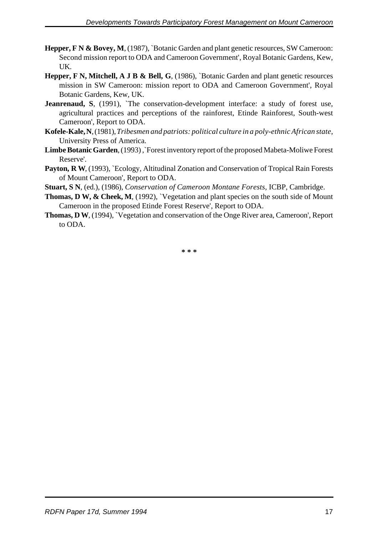- Hepper, F N & Bovey, M, (1987), `Botanic Garden and plant genetic resources, SW Cameroon: Second mission report to ODA and Cameroon Government', Royal Botanic Gardens, Kew, UK.
- **Hepper, F N, Mitchell, A J B & Bell, G**, (1986), `Botanic Garden and plant genetic resources mission in SW Cameroon: mission report to ODA and Cameroon Government', Royal Botanic Gardens, Kew, UK.
- Jeanrenaud, S, (1991), 'The conservation-development interface: a study of forest use, agricultural practices and perceptions of the rainforest, Etinde Rainforest, South-west Cameroon', Report to ODA.
- **Kofele-Kale, N**, (1981), *Tribesmen and patriots: political culture in a poly-ethnic African state*, University Press of America.
- Limbe Botanic Garden, (1993), `Forest inventory report of the proposed Mabeta-Moliwe Forest Reserve'.
- Payton, R W, (1993), `Ecology, Altitudinal Zonation and Conservation of Tropical Rain Forests of Mount Cameroon', Report to ODA.
- **Stuart, S N**, (ed.), (1986), *Conservation of Cameroon Montane Forests,* ICBP, Cambridge.
- **Thomas, D W, & Cheek, M,** (1992), `Vegetation and plant species on the south side of Mount Cameroon in the proposed Etinde Forest Reserve', Report to ODA.
- **Thomas, D W**, (1994), `Vegetation and conservation of the Onge River area, Cameroon', Report to ODA.

**\* \* \***